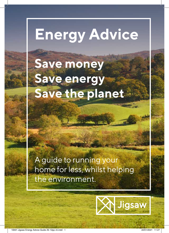# **Energy Advice**

## **Save money Save energy Save the planet**

A guide to running your home for less, whilst helping the environment.

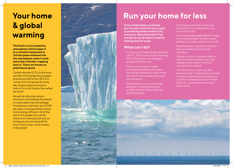### **Your home & global warming**

**The Earth is surrounded by atmosphere which keeps it at a constant temperature. Certain gases released into the atmosphere make it work more like a blanket, trapping heat in. These are known as greenhouse gases.**

Carbon dioxide  $(CO<sub>2</sub>)$  is the most harmful of the greenhouse gases and almost half of the UK's  $CO<sub>2</sub>$ comes from things we do every day. Surprisingly we produce more of it in our homes than when we drive!

As well as reducing carbon emissions and helping the planet, it is estimated that the average household could save up to £300 per year on energy bills by being more energy efficient. All of the tips in this guide cost a small amount or nothing at all and, as energy prices are rising all the time, there's even more money to be saved!



### **Run your home for less**

**A few simple steps could help you run your home for less as well**  as producing fewer harmful CO<sub>2</sub> **emissions. More than half of the energy we use at home is used for heating and hot water.**

- Turn your room thermostat down by just 1°C. This could cut your heating bill by 10%, which is an average saving of £75 per year.
- Close your curtains at night and make sure they are tucked behind the radiators to reduce the amount of heat escaping through
- 15% of heat loss occurs through draughts. Draught proof your window frames, doors, keyholes
- Set heating controls so that your property is only heated when you are in the house.
- If you have adiustable radiator valves. turn radiators down to their lowest setting in unused rooms, but not off.
- Bleed radiators regularly to ensure they are working at maximum efficiency.
- Drying clothes on radiators blocks heat from warming the room and causes condensation. Dry on a clothes horse instead.
- Turn the pressure down on the power shower. A high pressure power shower is a great luxury to have but you'd be surprised how much water they use – sometimes even more than a bath.

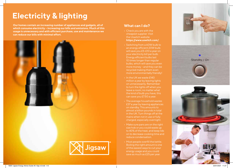### **Electricity & lighting**

**Our homes contain an increasing number of appliances and gadgets, all of which consume electricity – increasing our bills and emissions. Much of this usage is unnecessary and with efficient purchase, use and maintenance we can reduce our bills with minimal effort.**



#### **What can I do?**

- Check you are with the cheapest supplier. Visit the Uswitch website **https://www.uswitch.com/**
- Switching from a 60W bulb to an energy efficient 20W bulb will save you £5-£10 a year on your electricity bill per bulb. Energy efficient bulbs last 10 times longer than regular more money – and they can be recycled making them even more environmentally friendly!
- In the UK we waste £140 million a year by leaving lights on unnecessarily. Remember to turn the lights off when you leave a room; no matter what the kind of bulb you have, this can save you £7.50 a year.
- The average household wastes £37 a year by leaving appliances on standby. This amounts to almost a billion pounds in total in the UK. Turn things off at the charged, especially overnight.
- Make sure pans are on the right size hob or you could waste up to 40% of the heat, and keep lids on to decrease cooking time and reduce condensation.
- Most people overfill the kettle. Boiling the right amount is one of the easiest ways to cut your energy usage and you could save as much as £25 per year.

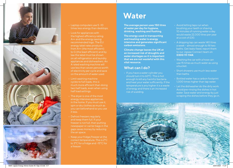

- Laptop computers use 5 -10 times less energy than desktops.
- Look for appliances with the highest efficiency rating A++ and the energy saving recommended logo. The EU energy label rates products from A++ (the most efficient) to G (the least efficient) and by law the label must be shown on all refrigeration and laundry appliances and dishwashers. An use less than seven pence worth of electricity per cycle and save on the amount of water used.
- Limit washing machine cycles to full loads, this is much more efficient than doing two half loads, even when using half load settings.
- The dryer is one of the most energy intensive appliances in the home. If you must use it, spin or dry clothes as much as it less.
- Defrost freezers regularly and keep them full. If your freezer is not full, then putting newspaper or carrier bags in the gaps saves money by reducing the air space.
- Keep your fridge/freezer at the correct temperature. This is 2°C to 3°C for a fridge and -15°C for a freezer.

### **Water**

**The average person uses 150 litres of water per day for hygiene, drinking, washing and flushing.** 

**The energy used in transporting and treating water is energy intensive and generates significant carbon emissions.**

**Climate change leaves the UK at an increased risk of droughts and water shortages so it is important that we are not wasteful with this vital resource.**

### **What can I do?**

• If you have a water cylinder you should turn it to 60°C. This is hot enough to kill any harmful bacteria and heat your water sufficiently. If the temperature is any higher it is a waste of energy and there is an increased risk of scalding.

- Avoid letting taps run when brushing your teeth or shaving. 10 minutes of running water a day would waste 22,000 litres per year at a cost of £30.
- A dripping tap can waste 140 litres a week – almost enough to fill two baths. Get leaks fixed; report them to our Jigsaw Connect team on **0300 111 1144**.
- Washing the car with a hose can use 15 times as much water as using a bucket.
- Short showers use much less water than baths.
- Bottled water has a carbon footprint 1,000 times higher than tap water.
- Let the dishwasher do the dirty work. Avoid pre-rinsing the dishes in hot water. Save water and energy by just scraping the dishes before they go in.

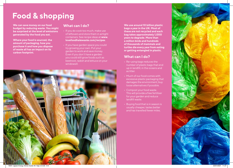### **Food & shopping**

**We can save money on our food budget by reducing waste. You might be surprised at the level of emissions generated by the food you eat.**

**Where your food is sourced, the amount of packaging, how you purchase it and how you dispose of waste all has an impact on its carbon footprint.**

#### **What can I do?**

- If you do cook too much, make use of leftovers and store them in airtight containers. See recipe ideas at **www. lovefoodhatewaste.com/recipes**.
- If you have garden space you could try growing your own. Put your garden to work and save money. Even if you don't have a garden you could still grow foods such as beetroot, radish and lettuce on your windowsill.

**We use around 10 billion plastic bags a year in the UK. Most of these are not recycled and each bag takes approximately 1,000 years to degrade. More than a million birds and hundreds of thousands of mammals and turtles die every year from eating or getting entangled in plastic.**

### **What can I do?**

- Re-using bags reduces the number of plastic bags that end up in landfill, in the oceans and as litter.
- Much of our food comes with excessive plastic packaging that damages the environment; buy loose alternatives if possible.
- Compost your food waste. This will provide a free fertiliser for your garden and reduce landfill waste.
- Buying food that is in season is usually cheaper, tastes better and has travelled fewer miles.

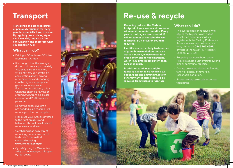### **Transport**

**Transport is the biggest source of personal emissions for many people, especially if you drive, or fly regularly. Your driving style can have a big impact on fuel consumption and therefore what you spend on fuel.**

### **What can I do?**

- Driving at 50mph uses 30% less fuel than at 70 mph.
- It is thought that the average driver could save approximately 10% on fuel by driving more efficiently. You can do this by accelerating gently, driving more smoothly and changing into the highest appropriate gear as soon as you can. For maximum efficiency this is when the engine is revving at around 2,000 rpm in a diesel car or around 2,500 rpm in a petrol car.
- Removing excess weight if not needed e.g. a roof rack will reduce your fuel consumption.
- Make sure your tyres are inflated to the right pressure and balanced; this will save fuel and reduce wear and tear.
- Car sharing is an easy way of reducing your emissions and fuel costs. You can find car buddies using **www.liftshare.com/uk**
- Cycle! Cycling for 30 minutes a day can increase your life span by four years.



### **Re-use & recycle**

**Recycling reduces the Carbon footprint of your waste and promotes wider environmental benefits. Every year in the UK, we send around 23 million tonnes of household waste to landfill, 60% of which could be recycled.**

**Landfills are particularly bad sources of greenhouse emissions because waste is buried, which causes it to break down and release methane, which is 33 times more potent than carbon dioxide.**

**In addition to what you might typically expect to be recycled e.g. paper, glass and aluminium, lots of other unwanted items can also be recycled from fridges to furniture.**

### **What can I do?**

- The average person receives 19kg of junk mail a year. To opt out of unsolicited direct mailing lists, register with the Mailing Preference Service at www.mpsonline.org.uk, or by phone on **0845 703 4599**, or write to them at MPS, Freepost, London, W1E 0ZT
- Recycling has never been easier. Recycle at home using your recycling bins or communal facilities.
- Donate unwanted clothes to friends family or charity if they are in reasonable condition.
- Short showers use much less water than baths.